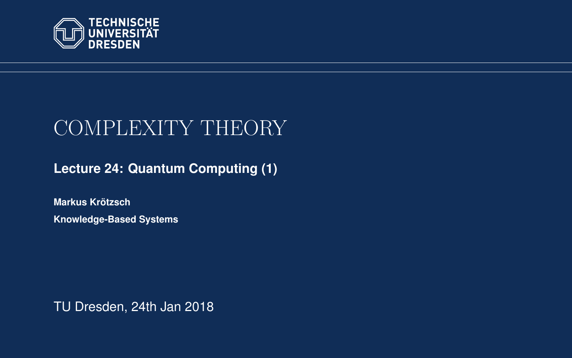<span id="page-0-0"></span>

# COMPLEXITY THEORY

**[Lecture 24: Quantum Computing \(1\)](https://iccl.inf.tu-dresden.de/web/Complexity_Theory_(WS2017/18))**

**[Markus Krotzsch](https://iccl.inf.tu-dresden.de/web/Markus_Kr%C3%B6tzsch/en) ¨ Knowledge-Based Systems**

TU Dresden, 24th Jan 2018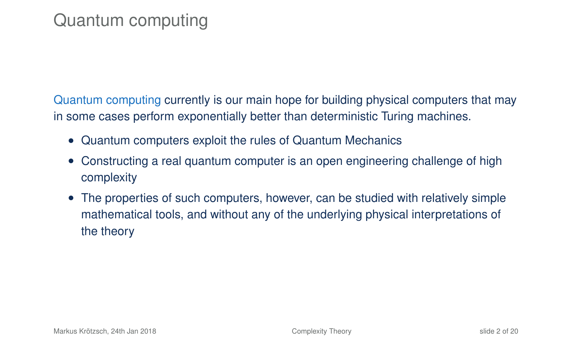# Quantum computing

Quantum computing currently is our main hope for building physical computers that may in some cases perform exponentially better than deterministic Turing machines.

- Quantum computers exploit the rules of Quantum Mechanics
- Constructing a real quantum computer is an open engineering challenge of high complexity
- The properties of such computers, however, can be studied with relatively simple mathematical tools, and without any of the underlying physical interpretations of the theory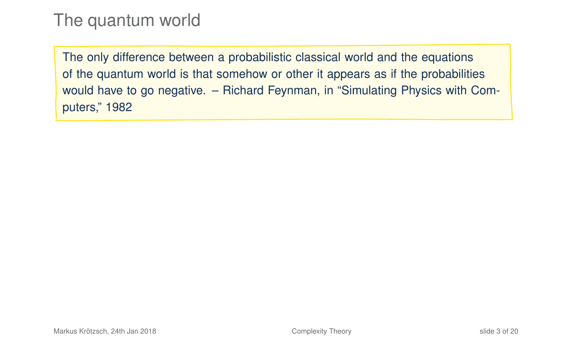### The quantum world

The only difference between a probabilistic classical world and the equations of the quantum world is that somehow or other it appears as if the probabilities would have to go negative. – Richard Feynman, in "Simulating Physics with Computers," 1982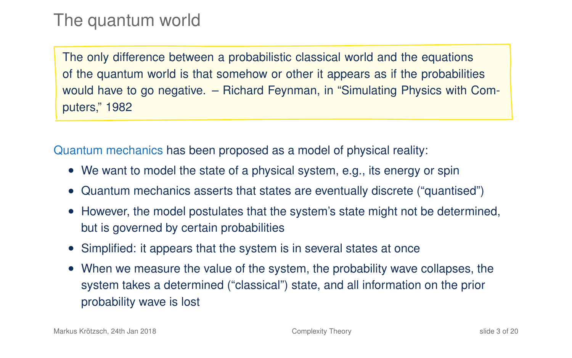### The quantum world

The only difference between a probabilistic classical world and the equations of the quantum world is that somehow or other it appears as if the probabilities would have to go negative. – Richard Feynman, in "Simulating Physics with Computers," 1982

Quantum mechanics has been proposed as a model of physical reality:

- We want to model the state of a physical system, e.g., its energy or spin
- Quantum mechanics asserts that states are eventually discrete ("quantised")
- However, the model postulates that the system's state might not be determined, but is governed by certain probabilities
- Simplified: it appears that the system is in several states at once
- When we measure the value of the system, the probability wave collapses, the system takes a determined ("classical") state, and all information on the prior probability wave is lost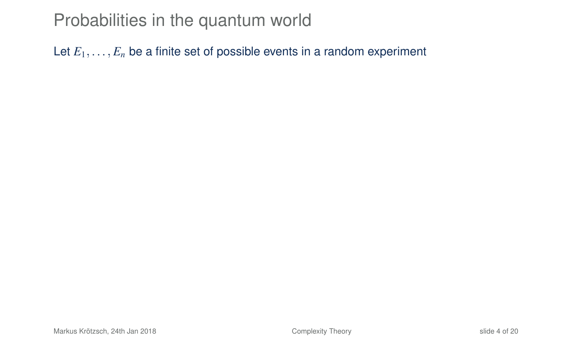### Probabilities in the quantum world

Let  $E_1, \ldots, E_n$  be a finite set of possible events in a random experiment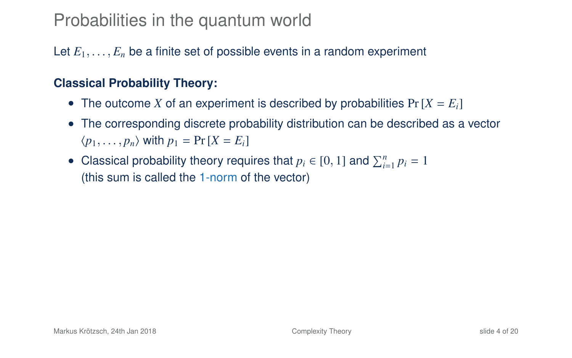### Probabilities in the quantum world

Let  $E_1, \ldots, E_n$  be a finite set of possible events in a random experiment

#### **Classical Probability Theory:**

- The outcome *X* of an experiment is described by probabilities  $Pr[X = E_i]$
- The corresponding discrete probability distribution can be described as a vector  $\langle p_1, \ldots, p_n \rangle$  with  $p_1 = \Pr[X = E_i]$
- Classical probability theory requires that  $p_i \in [0, 1]$  and  $\sum_{i=1}^n p_i = 1$ (this sum is called the 1-norm of the vector)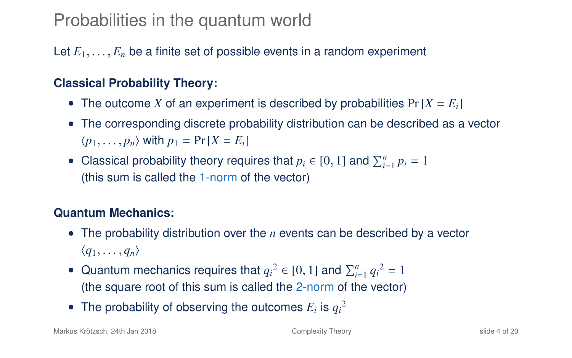### Probabilities in the quantum world

#### Let  $E_1, \ldots, E_n$  be a finite set of possible events in a random experiment

#### **Classical Probability Theory:**

- The outcome *X* of an experiment is described by probabilities  $Pr[X = E_i]$
- The corresponding discrete probability distribution can be described as a vector  $\langle p_1, \ldots, p_n \rangle$  with  $p_1 = \Pr[X = E_i]$
- Classical probability theory requires that  $p_i \in [0, 1]$  and  $\sum_{i=1}^n p_i = 1$ (this sum is called the 1-norm of the vector)

#### **Quantum Mechanics:**

- The probability distribution over the *n* events can be described by a vector  $\langle q_1, \ldots, q_n \rangle$
- Quantum mechanics requires that  $q_i^2 \in [0, 1]$  and  $\sum_{i=1}^n q_i^2 = 1$ (the square root of this sum is called the 2-norm of the vector)
- The probability of observing the outcomes  $E_i$  is  $q_i^2$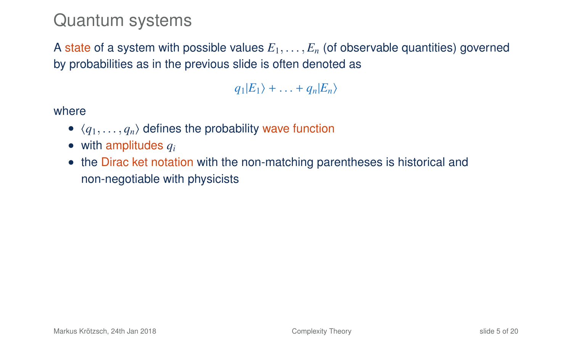### Quantum systems

A state of a system with possible values  $E_1, \ldots, E_n$  (of observable quantities) governed by probabilities as in the previous slide is often denoted as

 $q_1|E_1\rangle + \ldots + q_n|E_n\rangle$ 

where

- $\langle q_1, \ldots, q_n \rangle$  defines the probability wave function
- with amplitudes *q<sup>i</sup>*
- the Dirac ket notation with the non-matching parentheses is historical and non-negotiable with physicists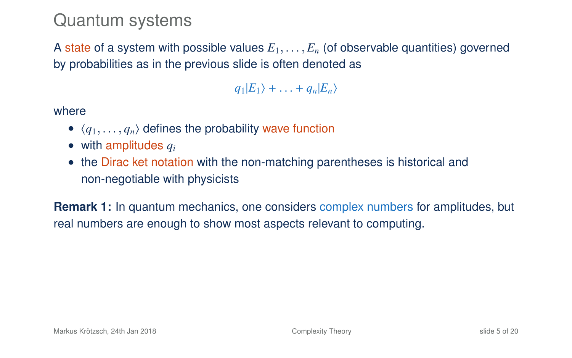### Quantum systems

A state of a system with possible values  $E_1, \ldots, E_n$  (of observable quantities) governed by probabilities as in the previous slide is often denoted as

 $q_1|E_1\rangle + \ldots + q_n|E_n\rangle$ 

where

- $\langle q_1, \ldots, q_n \rangle$  defines the probability wave function
- with amplitudes *q<sup>i</sup>*
- the Dirac ket notation with the non-matching parentheses is historical and non-negotiable with physicists

**Remark 1:** In quantum mechanics, one considers complex numbers for amplitudes, but real numbers are enough to show most aspects relevant to computing.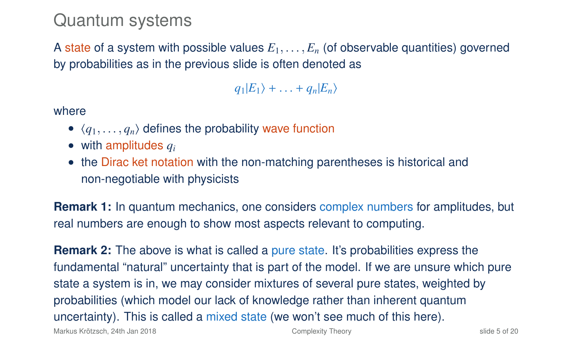### Quantum systems

A state of a system with possible values  $E_1, \ldots, E_n$  (of observable quantities) governed by probabilities as in the previous slide is often denoted as

 $q_1|E_1\rangle + \ldots + q_n|E_n\rangle$ 

where

- $\langle q_1, \ldots, q_n \rangle$  defines the probability wave function
- with amplitudes *q<sup>i</sup>*
- the Dirac ket notation with the non-matching parentheses is historical and non-negotiable with physicists

**Remark 1:** In quantum mechanics, one considers complex numbers for amplitudes, but real numbers are enough to show most aspects relevant to computing.

**Remark 2:** The above is what is called a pure state. It's probabilities express the fundamental "natural" uncertainty that is part of the model. If we are unsure which pure state a system is in, we may consider mixtures of several pure states, weighted by probabilities (which model our lack of knowledge rather than inherent quantum uncertainty). This is called a mixed state (we won't see much of this here).

Markus Krötzsch, 24th Jan 2018 [Complexity Theory](#page-0-0) slide 5 of 20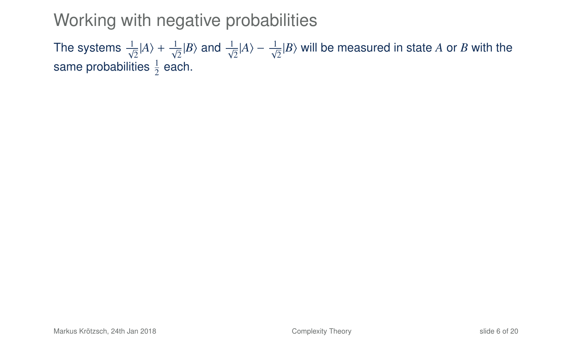### Working with negative probabilities

The systems  $\frac{1}{\sqrt{2}}|A\rangle + \frac{1}{\sqrt{2}}|B\rangle$  and  $\frac{1}{\sqrt{2}}|A\rangle - \frac{1}{\sqrt{2}}|B\rangle$  will be measured in state A or *B* with the same probabilities  $\frac{1}{2}$  each.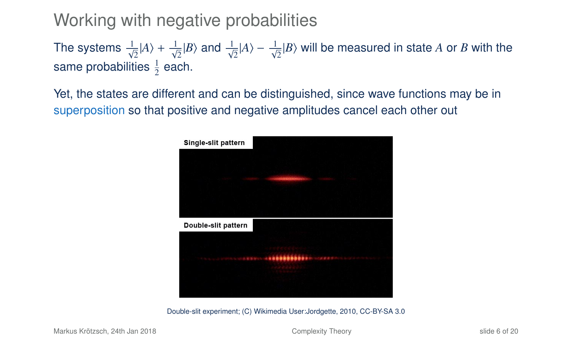### Working with negative probabilities

The systems  $\frac{1}{\sqrt{2}}|A\rangle + \frac{1}{\sqrt{2}}|B\rangle$  and  $\frac{1}{\sqrt{2}}|A\rangle - \frac{1}{\sqrt{2}}|B\rangle$  will be measured in state A or *B* with the same probabilities  $\frac{1}{2}$  each.

Yet, the states are different and can be distinguished, since wave functions may be in superposition so that positive and negative amplitudes cancel each other out



Double-slit experiment; (C) Wikimedia User:Jordgette, 2010, CC-BY-SA 3.0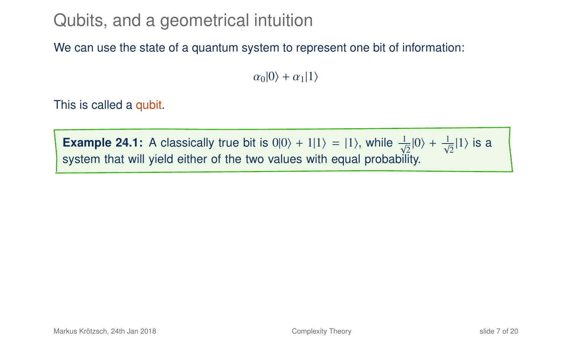# Qubits, and a geometrical intuition

We can use the state of a quantum system to represent one bit of information:

 $\alpha_0|0\rangle + \alpha_1|1\rangle$ 

This is called a qubit.

**Example 24.1:** A classically true bit is  $0|0\rangle + 1|1\rangle = |1\rangle$ , while  $\frac{1}{\sqrt{2}}|0\rangle + \frac{1}{\sqrt{2}}|1\rangle$  is a system that will yield either of the two values with equal probability.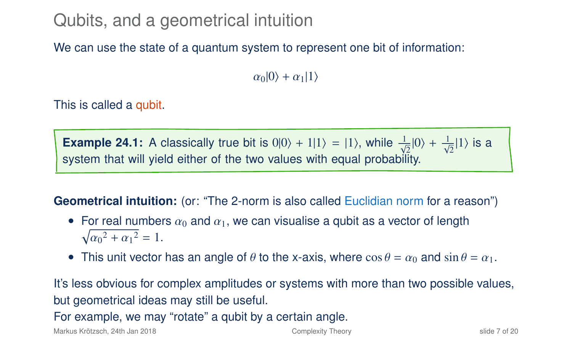# Qubits, and a geometrical intuition

We can use the state of a quantum system to represent one bit of information:

 $\alpha_0|0\rangle + \alpha_1|1\rangle$ 

This is called a qubit.

**Example 24.1:** A classically true bit is  $0|0\rangle + 1|1\rangle = |1\rangle$ , while  $\frac{1}{\sqrt{2}}|0\rangle + \frac{1}{\sqrt{2}}|1\rangle$  is a system that will yield either of the two values with equal probability.

**Geometrical intuition:** (or: "The 2-norm is also called Euclidian norm for a reason")

- For real numbers  $\alpha_0$  and  $\alpha_1$ , we can visualise a qubit as a vector of length  $\sqrt{\alpha_0^2 + \alpha_1^2} = 1.$
- This unit vector has an angle of  $\theta$  to the x-axis, where  $\cos \theta = \alpha_0$  and  $\sin \theta = \alpha_1$ .

It's less obvious for complex amplitudes or systems with more than two possible values, but geometrical ideas may still be useful.

For example, we may "rotate" a qubit by a certain angle.

Markus Krötzsch, 24th Jan 2018 [Complexity Theory](#page-0-0) slide 7 of 20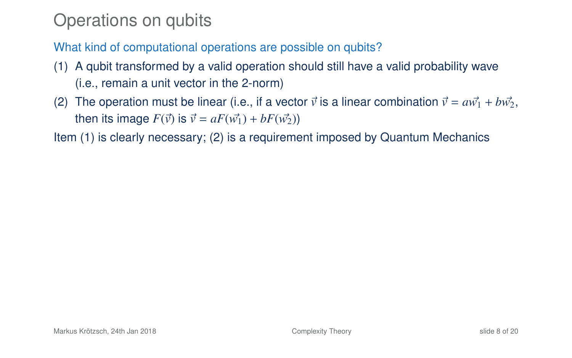# Operations on qubits

What kind of computational operations are possible on qubits?

- (1) A qubit transformed by a valid operation should still have a valid probability wave (i.e., remain a unit vector in the 2-norm)
- (2) The operation must be linear (i.e., if a vector  $\vec{v}$  is a linear combination  $\vec{v} = a\vec{w_1} + b\vec{w_2}$ , then its image  $F(\vec{v})$  is  $\vec{v} = aF(\vec{w_1}) + bF(\vec{w_2})$

Item (1) is clearly necessary; (2) is a requirement imposed by Quantum Mechanics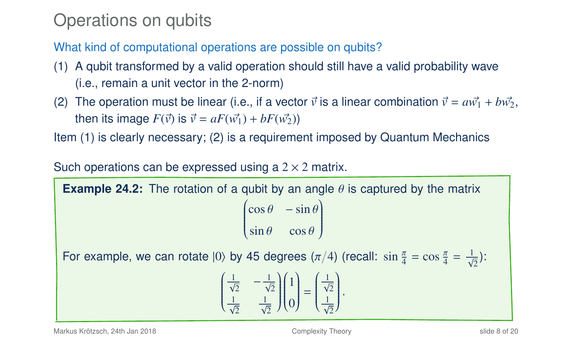# Operations on qubits

What kind of computational operations are possible on qubits?

- (1) A qubit transformed by a valid operation should still have a valid probability wave (i.e., remain a unit vector in the 2-norm)
- (2) The operation must be linear (i.e., if a vector  $\vec{v}$  is a linear combination  $\vec{v} = a\vec{w_1} + b\vec{w_2}$ , then its image  $F(\vec{v})$  is  $\vec{v} = aF(\vec{w_1}) + bF(\vec{w_2})$

Item (1) is clearly necessary; (2) is a requirement imposed by Quantum Mechanics

Such operations can be expressed using a  $2 \times 2$  matrix.

**Example 24.2:** The rotation of a qubit by an angle  $\theta$  is captured by the matrix  $\begin{pmatrix} \cos \theta & -\sin \theta \end{pmatrix}$  $\overline{\mathcal{C}}$  $\sin \theta$  cos  $\theta$ )  $\begin{array}{c} \hline \end{array}$ 

For example, we can rotate  $|0\rangle$  by 45 degrees  $(\pi/4)$  (recall:  $\sin \frac{\pi}{4} = \cos \frac{\pi}{4} = \frac{1}{\sqrt{2}}$ ):

$$
\begin{pmatrix} \frac{1}{\sqrt{2}} & -\frac{1}{\sqrt{2}} \\ \frac{1}{\sqrt{2}} & \frac{1}{\sqrt{2}} \end{pmatrix} \begin{pmatrix} 1 \\ 0 \end{pmatrix} = \begin{pmatrix} \frac{1}{\sqrt{2}} \\ \frac{1}{\sqrt{2}} \end{pmatrix}.
$$

Markus Krötzsch, 24th Jan 2018 [Complexity Theory](#page-0-0) slide 8 of 20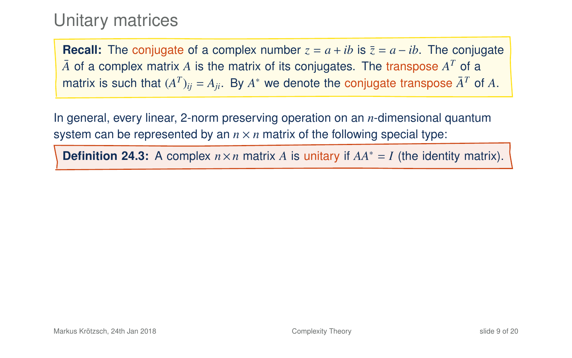### Unitary matrices

**Recall:** The conjugate of a complex number  $z = a + ib$  is  $\overline{z} = a - ib$ . The conjugate  $\bar{A}$  of a complex matrix  $A$  is the matrix of its conjugates. The transpose  $A^T$  of a matrix is such that  $(A^T)_{ij} = A_{ji}$ . By  $A^*$  we denote the conjugate transpose  $\bar{A}^T$  of  $A$ .

In general, every linear, 2-norm preserving operation on an *n*-dimensional quantum system can be represented by an  $n \times n$  matrix of the following special type:

**Definition 24.3:** A complex  $n \times n$  matrix *A* is unitary if  $AA^* = I$  (the identity matrix).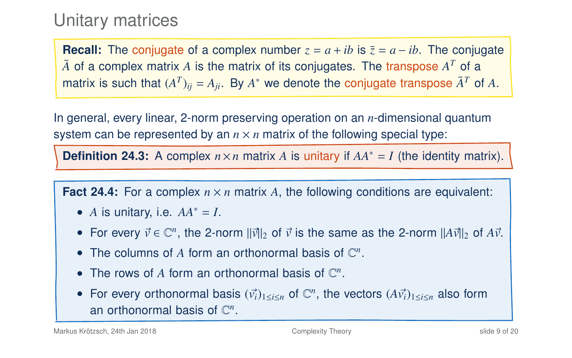### Unitary matrices

**Recall:** The conjugate of a complex number  $z = a + ib$  is  $\overline{z} = a - ib$ . The conjugate  $\bar{A}$  of a complex matrix  $A$  is the matrix of its conjugates. The transpose  $A^T$  of a matrix is such that  $(A^T)_{ij} = A_{ji}$ . By  $A^*$  we denote the conjugate transpose  $\bar{A}^T$  of  $A$ .

In general, every linear, 2-norm preserving operation on an *n*-dimensional quantum system can be represented by an  $n \times n$  matrix of the following special type:

**Definition 24.3:** A complex  $n \times n$  matrix *A* is unitary if  $AA^* = I$  (the identity matrix).

**Fact 24.4:** For a complex  $n \times n$  matrix A, the following conditions are equivalent:

- *A* is unitary, i.e.  $AA^* = I$ .
- For every  $\vec{v} \in \mathbb{C}^n$ , the 2-norm  $||\vec{v}||_2$  of  $\vec{v}$  is the same as the 2-norm  $||A\vec{v}||_2$  of  $A\vec{v}$ .
- The columns of  $A$  form an orthonormal basis of  $\mathbb{C}^n$ .
- The rows of  $A$  form an orthonormal basis of  $\mathbb{C}^n$ .
- For every orthonormal basis  $(\vec{v}_i)_{1 \leq i \leq n}$  of  $\mathbb{C}^n$ , the vectors  $(A\vec{v}_i)_{1 \leq i \leq n}$  also form an orthonormal basis of  $\mathbb{C}^n$ .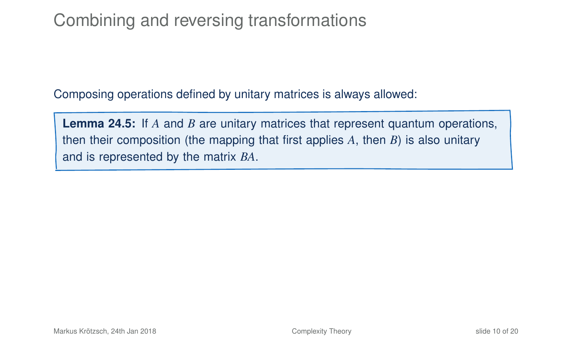# Combining and reversing transformations

Composing operations defined by unitary matrices is always allowed:

**Lemma 24.5:** If *A* and *B* are unitary matrices that represent quantum operations, then their composition (the mapping that first applies *A*, then *B*) is also unitary and is represented by the matrix *BA*.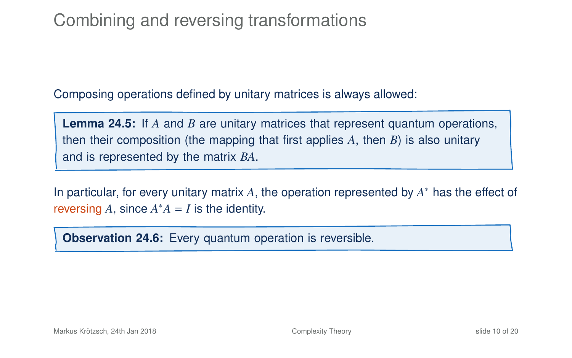# Combining and reversing transformations

Composing operations defined by unitary matrices is always allowed:

**Lemma 24.5:** If *A* and *B* are unitary matrices that represent quantum operations, then their composition (the mapping that first applies *A*, then *B*) is also unitary and is represented by the matrix *BA*.

In particular, for every unitary matrix *A*, the operation represented by *A* <sup>∗</sup> has the effect of reversing  $A$ , since  $A^*A = I$  is the identity.

**Observation 24.6:** Every quantum operation is reversible.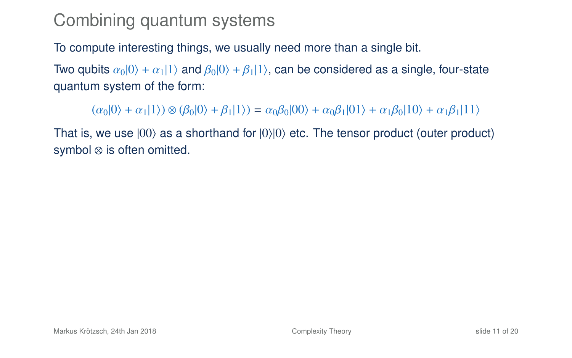To compute interesting things, we usually need more than a single bit.

Two qubits  $\alpha_0|0\rangle + \alpha_1|1\rangle$  and  $\beta_0|0\rangle + \beta_1|1\rangle$ , can be considered as a single, four-state quantum system of the form:

 $(\alpha_0|0\rangle + \alpha_1|1\rangle) \otimes (\beta_0|0\rangle + \beta_1|1\rangle) = \alpha_0\beta_0|00\rangle + \alpha_0\beta_1|01\rangle + \alpha_1\beta_0|10\rangle + \alpha_1\beta_1|11\rangle$ 

That is, we use  $|00\rangle$  as a shorthand for  $|0\rangle|0\rangle$  etc. The tensor product (outer product) symbol ⊗ is often omitted.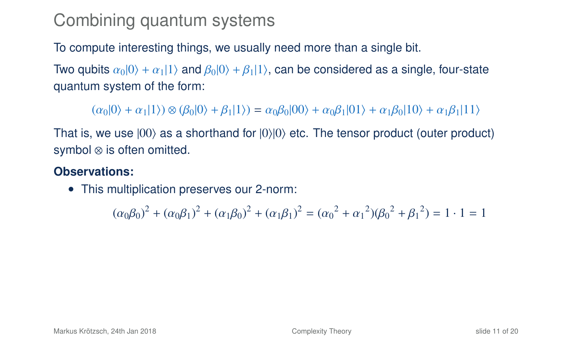To compute interesting things, we usually need more than a single bit.

Two qubits  $\alpha_0|0\rangle + \alpha_1|1\rangle$  and  $\beta_0|0\rangle + \beta_1|1\rangle$ , can be considered as a single, four-state quantum system of the form:

 $(\alpha_0|0\rangle + \alpha_1|1\rangle) \otimes (\beta_0|0\rangle + \beta_1|1\rangle) = \alpha_0\beta_0|00\rangle + \alpha_0\beta_1|01\rangle + \alpha_1\beta_0|10\rangle + \alpha_1\beta_1|11\rangle$ 

That is, we use  $|00\rangle$  as a shorthand for  $|0\rangle|0\rangle$  etc. The tensor product (outer product) symbol ⊗ is often omitted.

#### **Observations:**

• This multiplication preserves our 2-norm:

 $(\alpha_0\beta_0)^2 + (\alpha_0\beta_1)^2 + (\alpha_1\beta_0)^2 + (\alpha_1\beta_1)^2 = (\alpha_0^2 + {\alpha_1}^2)(\beta_0^2 + {\beta_1}^2) = 1 \cdot 1 = 1$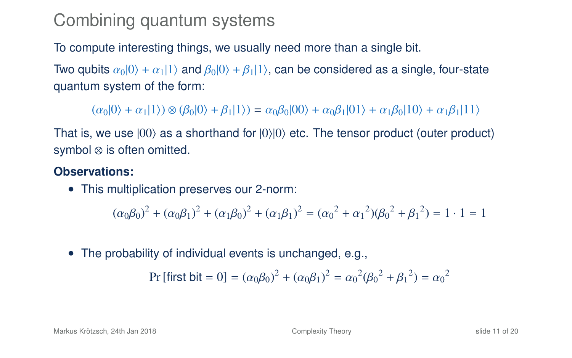To compute interesting things, we usually need more than a single bit.

Two qubits  $\alpha_0|0\rangle + \alpha_1|1\rangle$  and  $\beta_0|0\rangle + \beta_1|1\rangle$ , can be considered as a single, four-state quantum system of the form:

 $(\alpha_0|0\rangle + \alpha_1|1\rangle) \otimes (\beta_0|0\rangle + \beta_1|1\rangle) = \alpha_0\beta_0|00\rangle + \alpha_0\beta_1|01\rangle + \alpha_1\beta_0|10\rangle + \alpha_1\beta_1|11\rangle$ 

That is, we use  $|00\rangle$  as a shorthand for  $|0\rangle|0\rangle$  etc. The tensor product (outer product) symbol ⊗ is often omitted.

#### **Observations:**

• This multiplication preserves our 2-norm:

 $(\alpha_0\beta_0)^2 + (\alpha_0\beta_1)^2 + (\alpha_1\beta_0)^2 + (\alpha_1\beta_1)^2 = (\alpha_0^2 + {\alpha_1}^2)(\beta_0^2 + {\beta_1}^2) = 1 \cdot 1 = 1$ 

• The probability of individual events is unchanged, e.g.,

Pr [first bit = 0] = 
$$
(\alpha_0 \beta_0)^2 + (\alpha_0 \beta_1)^2 = \alpha_0^2 (\beta_0^2 + \beta_1^2) = \alpha_0^2
$$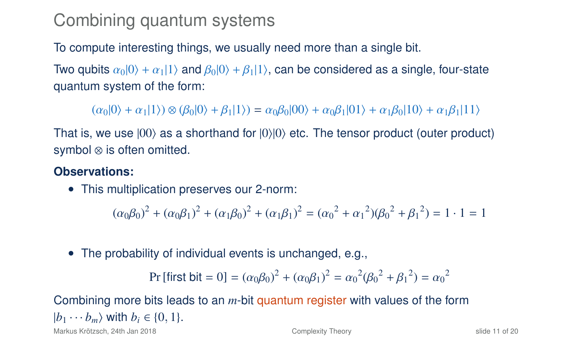To compute interesting things, we usually need more than a single bit.

Two qubits  $\alpha_0|0\rangle + \alpha_1|1\rangle$  and  $\beta_0|0\rangle + \beta_1|1\rangle$ , can be considered as a single, four-state quantum system of the form:

 $(a<sub>0</sub>|0) + a<sub>1</sub>|1) \otimes (B<sub>0</sub>|0) + B<sub>1</sub>|1) = a<sub>0</sub>B<sub>0</sub>|00\rangle + a<sub>0</sub>B<sub>1</sub>|01\rangle + a<sub>1</sub>B<sub>0</sub>|10\rangle + a<sub>1</sub>B<sub>1</sub>|11\rangle$ 

That is, we use  $|00\rangle$  as a shorthand for  $|0\rangle|0\rangle$  etc. The tensor product (outer product) symbol ⊗ is often omitted.

#### **Observations:**

• This multiplication preserves our 2-norm:

 $(\alpha_0\beta_0)^2 + (\alpha_0\beta_1)^2 + (\alpha_1\beta_0)^2 + (\alpha_1\beta_1)^2 = (\alpha_0^2 + {\alpha_1}^2)(\beta_0^2 + {\beta_1}^2) = 1 \cdot 1 = 1$ 

• The probability of individual events is unchanged, e.g.,

$$
Pr[first bit = 0] = (\alpha_0 \beta_0)^2 + (\alpha_0 \beta_1)^2 = \alpha_0^2 (\beta_0^2 + \beta_1^2) = \alpha_0^2
$$

Combining more bits leads to an *m*-bit quantum register with values of the form  $|b_1 \cdots b_m\rangle$  with  $b_i \in \{0, 1\}$ .

Markus Krötzsch, 24th Jan 2018 [Complexity Theory](#page-0-0) slide 11 of 20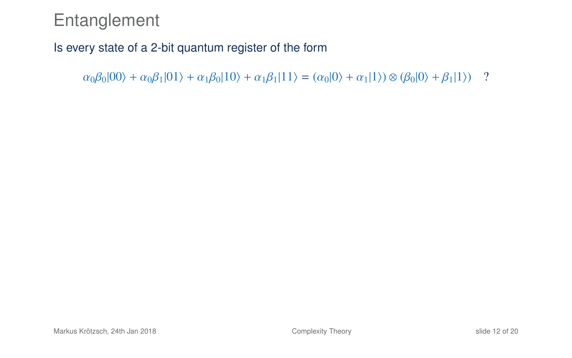### Entanglement

#### Is every state of a 2-bit quantum register of the form

 $\alpha_0\beta_0|00\rangle + \alpha_0\beta_1|01\rangle + \alpha_1\beta_0|10\rangle + \alpha_1\beta_1|11\rangle = (\alpha_0|0\rangle + \alpha_1|1\rangle) \otimes (\beta_0|0\rangle + \beta_1|1\rangle)$ ?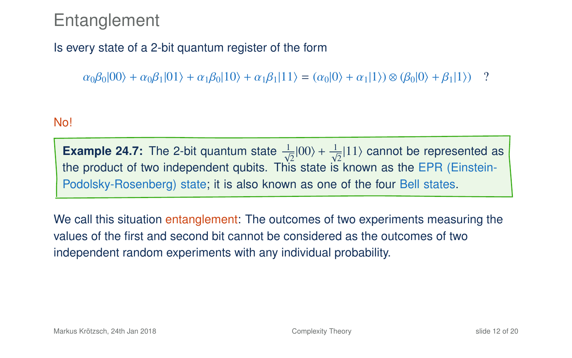### **Entanglement**

#### Is every state of a 2-bit quantum register of the form

 $\alpha_0\beta_0|00\rangle + \alpha_0\beta_1|01\rangle + \alpha_1\beta_0|10\rangle + \alpha_1\beta_1|11\rangle = (\alpha_0|0\rangle + \alpha_1|1\rangle) \otimes (\beta_0|0\rangle + \beta_1|1\rangle)$ ?

#### No!

**Example 24.7:** The 2-bit quantum state  $\frac{1}{\sqrt{2}}|00\rangle + \frac{1}{\sqrt{2}}|11\rangle$  cannot be represented as the product of two independent qubits. This state is known as the EPR (Einstein-Podolsky-Rosenberg) state; it is also known as one of the four Bell states.

We call this situation entanglement: The outcomes of two experiments measuring the values of the first and second bit cannot be considered as the outcomes of two independent random experiments with any individual probability.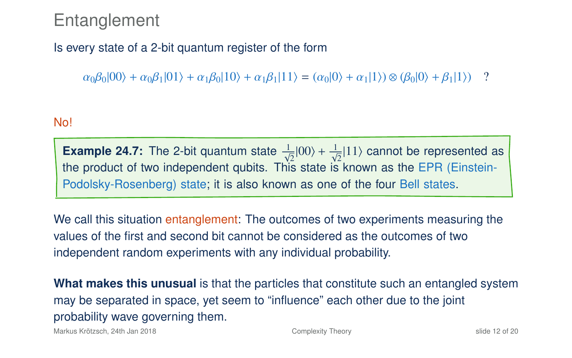### **Entanglement**

#### Is every state of a 2-bit quantum register of the form

 $\alpha_0\beta_0|00\rangle + \alpha_0\beta_1|01\rangle + \alpha_1\beta_0|10\rangle + \alpha_1\beta_1|11\rangle = (\alpha_0|0\rangle + \alpha_1|1\rangle) \otimes (\beta_0|0\rangle + \beta_1|1\rangle)$ ?

#### No!

**Example 24.7:** The 2-bit quantum state  $\frac{1}{\sqrt{2}}|00\rangle + \frac{1}{\sqrt{2}}|11\rangle$  cannot be represented as the product of two independent qubits. This state is known as the EPR (Einstein-Podolsky-Rosenberg) state; it is also known as one of the four Bell states.

We call this situation entanglement: The outcomes of two experiments measuring the values of the first and second bit cannot be considered as the outcomes of two independent random experiments with any individual probability.

**What makes this unusual** is that the particles that constitute such an entangled system may be separated in space, yet seem to "influence" each other due to the joint probability wave governing them.

Markus Krötzsch, 24th Jan 2018 [Complexity Theory](#page-0-0) slide 12 of 20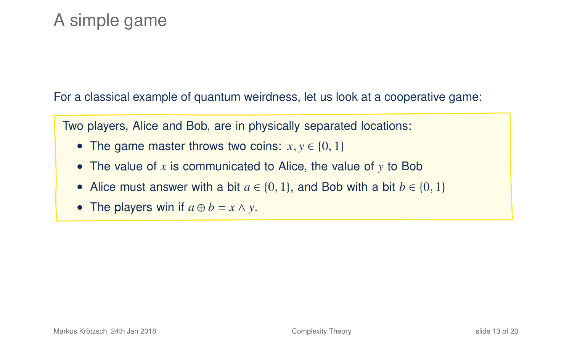# A simple game

For a classical example of quantum weirdness, let us look at a cooperative game:

Two players, Alice and Bob, are in physically separated locations:

- The game master throws two coins:  $x, y \in \{0, 1\}$
- The value of *x* is communicated to Alice, the value of *y* to Bob
- Alice must answer with a bit  $a \in \{0, 1\}$ , and Bob with a bit  $b \in \{0, 1\}$
- The players win if  $a \oplus b = x \wedge y$ .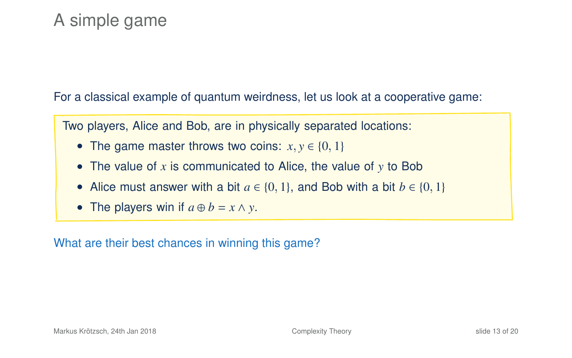# A simple game

For a classical example of quantum weirdness, let us look at a cooperative game:

Two players, Alice and Bob, are in physically separated locations:

- The game master throws two coins:  $x, y \in \{0, 1\}$
- The value of *x* is communicated to Alice, the value of *y* to Bob
- Alice must answer with a bit  $a \in \{0, 1\}$ , and Bob with a bit  $b \in \{0, 1\}$
- The players win if  $a \oplus b = x \wedge y$ .

What are their best chances in winning this game?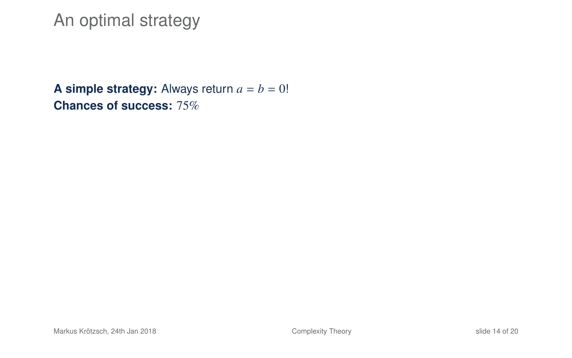### An optimal strategy

**A simple strategy:** Always return  $a = b = 0!$ **Chances of success:** 75%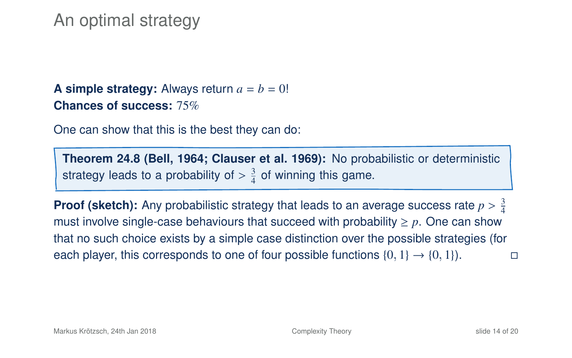### An optimal strategy

**A simple strategy:** Always return  $a = b = 0!$ **Chances of success:** 75%

One can show that this is the best they can do:

**Theorem 24.8 (Bell, 1964; Clauser et al. 1969):** No probabilistic or deterministic strategy leads to a probability of  $>\frac{3}{4}$  of winning this game.

**Proof (sketch):** Any probabilistic strategy that leads to an average success rate  $p > \frac{3}{4}$ <br>must involve single case behaviours that succeed with probability  $\geq p$ . One can show must involve single-case behaviours that succeed with probability  $\geq p$ . One can show that no such choice exists by a simple case distinction over the possible strategies (for each player, this corresponds to one of four possible functions  $\{0, 1\} \rightarrow \{0, 1\}$ .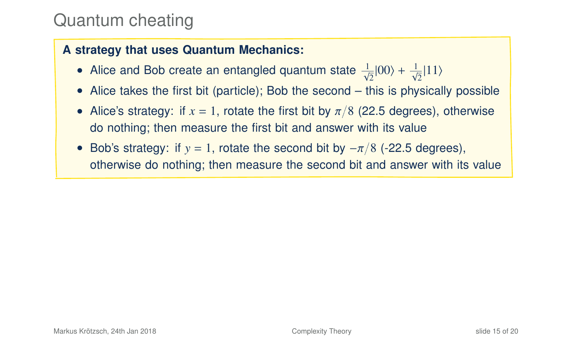# Quantum cheating

#### **A strategy that uses Quantum Mechanics:**

- Alice and Bob create an entangled quantum state  $\frac{1}{\sqrt{2}}|00\rangle + \frac{1}{\sqrt{2}}|11\rangle$
- Alice takes the first bit (particle); Bob the second this is physically possible
- Alice's strategy: if  $x = 1$ , rotate the first bit by  $\pi/8$  (22.5 degrees), otherwise do nothing; then measure the first bit and answer with its value
- Bob's strategy: if  $y = 1$ , rotate the second bit by  $-\pi/8$  (-22.5 degrees), otherwise do nothing; then measure the second bit and answer with its value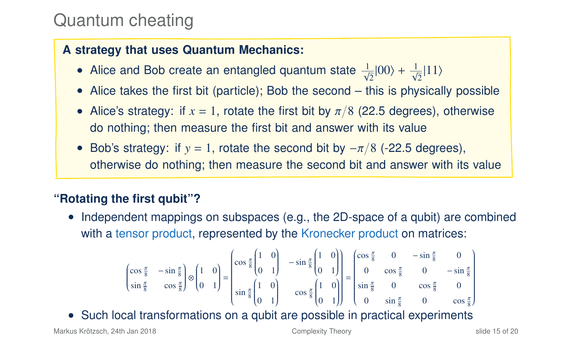# Quantum cheating

#### **A strategy that uses Quantum Mechanics:**

- Alice and Bob create an entangled quantum state  $\frac{1}{\sqrt{2}}|00\rangle + \frac{1}{\sqrt{2}}|11\rangle$
- Alice takes the first bit (particle); Bob the second this is physically possible
- Alice's strategy: if  $x = 1$ , rotate the first bit by  $\pi/8$  (22.5 degrees), otherwise do nothing; then measure the first bit and answer with its value
- Bob's strategy: if  $y = 1$ , rotate the second bit by  $-\pi/8$  (-22.5 degrees), otherwise do nothing; then measure the second bit and answer with its value

#### **"Rotating the first qubit"?**

• Independent mappings on subspaces (e.g., the 2D-space of a qubit) are combined with a tensor product, represented by the Kronecker product on matrices:

$$
\begin{pmatrix}\n\cos\frac{\pi}{8} & -\sin\frac{\pi}{8} \\
\sin\frac{\pi}{8} & \cos\frac{\pi}{8}\n\end{pmatrix}\n\otimes\n\begin{pmatrix}\n1 & 0 \\
0 & 1\n\end{pmatrix}\n=\n\begin{pmatrix}\n\cos\frac{\pi}{8}\n\begin{pmatrix}\n1 & 0 \\
0 & 1\n\end{pmatrix} & -\sin\frac{\pi}{8}\n\begin{pmatrix}\n1 & 0 \\
0 & 1\n\end{pmatrix}\n\end{pmatrix}\n=\n\begin{pmatrix}\n\cos\frac{\pi}{8} & 0 & -\sin\frac{\pi}{8} & 0 \\
0 & \cos\frac{\pi}{8} & 0 & -\sin\frac{\pi}{8} \\
\sin\frac{\pi}{8}\n\begin{pmatrix}\n1 & 0 \\
0 & 1\n\end{pmatrix} & \cos\frac{\pi}{8}\n\begin{pmatrix}\n1 & 0 \\
0 & 1\n\end{pmatrix}\n\end{pmatrix}\n=\n\begin{pmatrix}\n\cos\frac{\pi}{8} & 0 & -\sin\frac{\pi}{8} & 0 \\
0 & \cos\frac{\pi}{8} & 0 & -\cos\frac{\pi}{8} \\
0 & \sin\frac{\pi}{8} & 0 & \cos\frac{\pi}{8}\n\end{pmatrix}
$$

• Such local transformations on a qubit are possible in practical experiments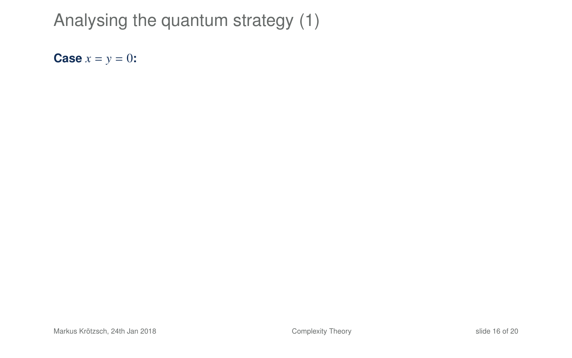**Case**  $x = y = 0$ **:**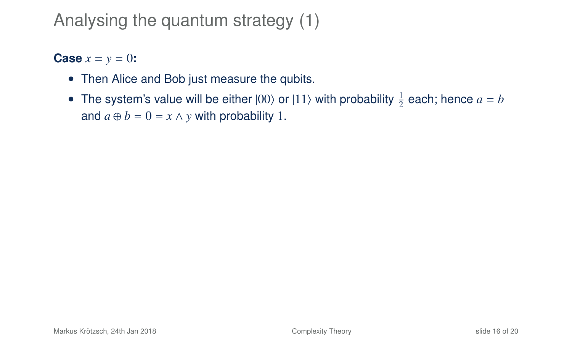**Case**  $x = y = 0$ **:** 

- Then Alice and Bob just measure the qubits.
- The system's value will be either  $|00\rangle$  or  $|11\rangle$  with probability  $\frac{1}{2}$  each; hence  $a = b$ and  $a \oplus b = 0 = x \land y$  with probability 1.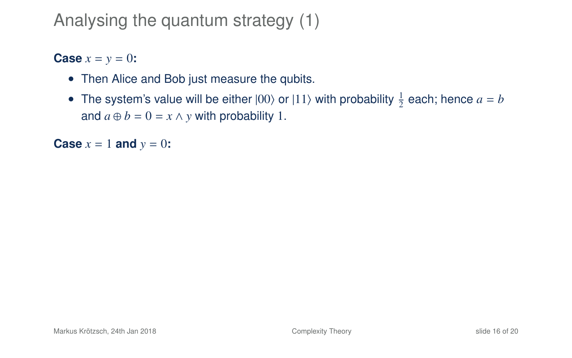**Case**  $x = y = 0$ **:** 

- Then Alice and Bob just measure the qubits.
- The system's value will be either  $|00\rangle$  or  $|11\rangle$  with probability  $\frac{1}{2}$  each; hence  $a = b$ and  $a \oplus b = 0 = x \land y$  with probability 1.

**Case**  $x = 1$  **and**  $y = 0$ **:**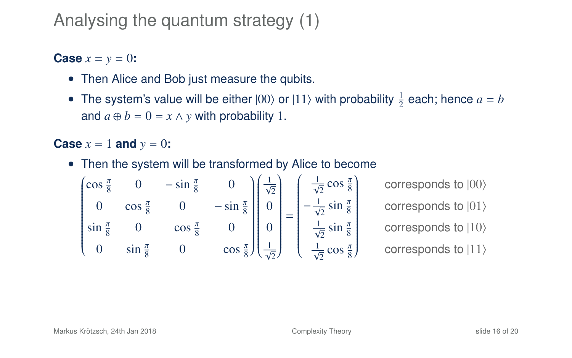**Case**  $x = y = 0$ **:** 

- Then Alice and Bob just measure the qubits.
- The system's value will be either  $|00\rangle$  or  $|11\rangle$  with probability  $\frac{1}{2}$  each; hence  $a = b$ and  $a \oplus b = 0 = x \land y$  with probability 1.

**Case**  $x = 1$  **and**  $y = 0$ **:** 

• Then the system will be transformed by Alice to become

$$
\begin{pmatrix}\n\cos\frac{\pi}{8} & 0 & -\sin\frac{\pi}{8} & 0 \\
0 & \cos\frac{\pi}{8} & 0 & -\sin\frac{\pi}{8} \\
\sin\frac{\pi}{8} & 0 & \cos\frac{\pi}{8} & 0 \\
0 & \sin\frac{\pi}{8} & 0 & \cos\frac{\pi}{8}\n\end{pmatrix}\n\begin{pmatrix}\n\frac{1}{\sqrt{2}} \\
0 \\
0 \\
\frac{1}{\sqrt{2}}\n\end{pmatrix}\n=\n\begin{pmatrix}\n\frac{1}{\sqrt{2}}\cos\frac{\pi}{8} \\
-\frac{1}{\sqrt{2}}\sin\frac{\pi}{8} \\
\frac{1}{\sqrt{2}}\cos\frac{\pi}{8}\n\end{pmatrix}
$$

corresponds to  $|00\rangle$ corresponds to  $|01\rangle$ corresponds to  $|10\rangle$ corresponds to  $|11\rangle$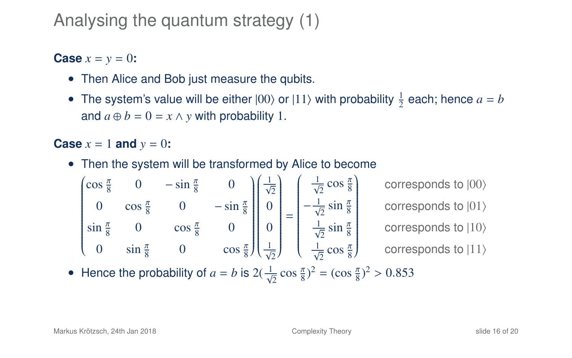**Case**  $x = y = 0$ **:** 

- Then Alice and Bob just measure the qubits.
- The system's value will be either  $|00\rangle$  or  $|11\rangle$  with probability  $\frac{1}{2}$  each; hence  $a = b$ and  $a \oplus b = 0 = x \land y$  with probability 1.

**Case**  $x = 1$  **and**  $y = 0$ **:** 

• Then the system will be transformed by Alice to become

$$
\begin{pmatrix}\n\cos\frac{\pi}{8} & 0 & -\sin\frac{\pi}{8} & 0 \\
0 & \cos\frac{\pi}{8} & 0 & -\sin\frac{\pi}{8} \\
\sin\frac{\pi}{8} & 0 & \cos\frac{\pi}{8} & 0 \\
0 & \sin\frac{\pi}{8} & 0 & \cos\frac{\pi}{8}\n\end{pmatrix}\n\begin{pmatrix}\n\frac{1}{\sqrt{2}} \\
\frac{1}{\sqrt{2}} \\
0 \\
\frac{1}{\sqrt{2}}\n\end{pmatrix}\n=\n\begin{pmatrix}\n\frac{1}{\sqrt{2}}\cos\frac{\pi}{8} \\
-\frac{1}{\sqrt{2}}\sin\frac{\pi}{8} \\
\frac{1}{\sqrt{2}}\cos\frac{\pi}{8}\n\end{pmatrix}
$$

corresponds to  $|00\rangle$ corresponds to  $|01\rangle$ corresponds to  $|10\rangle$ corresponds to  $|11\rangle$ 

• Hence the probability of  $a = b$  is  $2(\frac{1}{\sqrt{2}} \cos \frac{\pi}{8})^2 = (\cos \frac{\pi}{8})^2 > 0.853$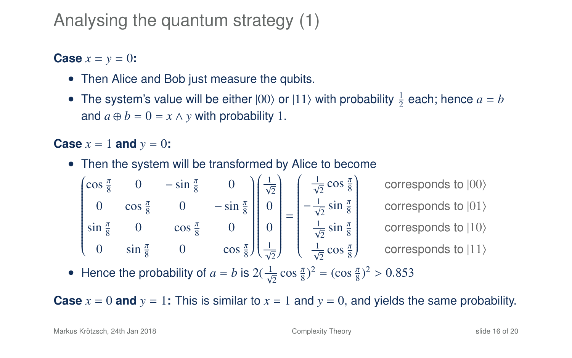**Case**  $x = y = 0$ **:** 

- Then Alice and Bob just measure the qubits.
- The system's value will be either  $|00\rangle$  or  $|11\rangle$  with probability  $\frac{1}{2}$  each; hence  $a = b$ and  $a \oplus b = 0 = x \land y$  with probability 1.

**Case**  $x = 1$  **and**  $y = 0$ **:** 

• Then the system will be transformed by Alice to become

$$
\begin{pmatrix}\n\cos\frac{\pi}{8} & 0 & -\sin\frac{\pi}{8} & 0 \\
0 & \cos\frac{\pi}{8} & 0 & -\sin\frac{\pi}{8} \\
\sin\frac{\pi}{8} & 0 & \cos\frac{\pi}{8} & 0 \\
0 & \sin\frac{\pi}{8} & 0 & \cos\frac{\pi}{8}\n\end{pmatrix}\n\begin{pmatrix}\n\frac{1}{\sqrt{2}} \\
0 \\
0 \\
\frac{1}{\sqrt{2}}\n\end{pmatrix}\n=\n\begin{pmatrix}\n\frac{1}{\sqrt{2}}\cos\frac{\pi}{8} \\
-\frac{1}{\sqrt{2}}\sin\frac{\pi}{8} \\
\frac{1}{\sqrt{2}}\sin\frac{\pi}{8} \\
\frac{1}{\sqrt{2}}\cos\frac{\pi}{8}\n\end{pmatrix}\n\quad\n\text{corresponds to } |00\rangle\n\text{corresponds to } |10\rangle\n\text{corresponds to } |11\rangle
$$

corresponds to  $|01\rangle$ ponds to  $|10\rangle$ 

corresponds to  $|11\rangle$ 

• Hence the probability of  $a = b$  is  $2(\frac{1}{\sqrt{2}} \cos \frac{\pi}{8})^2 = (\cos \frac{\pi}{8})^2 > 0.853$ 

**Case**  $x = 0$  and  $y = 1$ : This is similar to  $x = 1$  and  $y = 0$ , and yields the same probability.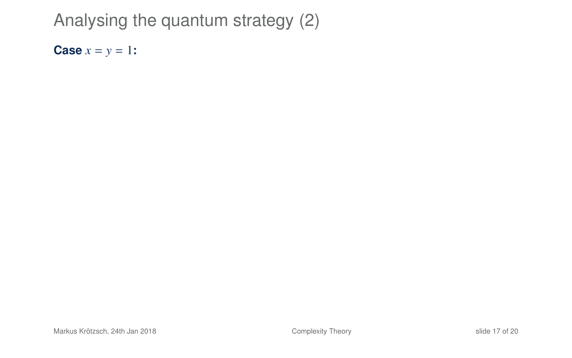**Case**  $x = y = 1$ **:**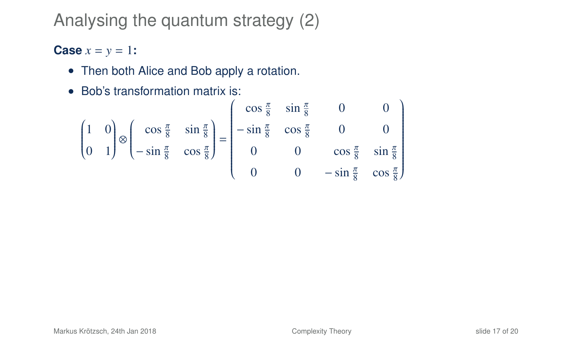#### **Case**  $x = y = 1$ **:**

- Then both Alice and Bob apply a rotation.
- Bob's transformation matrix is:

$$
\begin{pmatrix} 1 & 0 \ 0 & 1 \end{pmatrix} \otimes \begin{pmatrix} \cos\frac{\pi}{8} & \sin\frac{\pi}{8} \\ -\sin\frac{\pi}{8} & \cos\frac{\pi}{8} \end{pmatrix} = \begin{pmatrix} \cos\frac{\pi}{8} & \sin\frac{\pi}{8} & 0 & 0 \\ -\sin\frac{\pi}{8} & \cos\frac{\pi}{8} & 0 & 0 \\ 0 & 0 & \cos\frac{\pi}{8} & \sin\frac{\pi}{8} \\ 0 & 0 & -\sin\frac{\pi}{8} & \cos\frac{\pi}{8} \end{pmatrix}
$$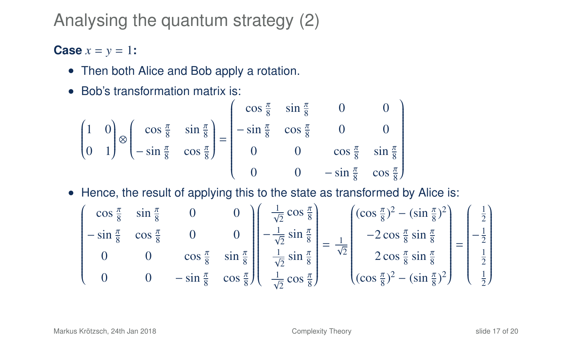#### **Case**  $x = y = 1$ **:**

- Then both Alice and Bob apply a rotation.
- Bob's transformation matrix is:

$$
\begin{pmatrix} 1 & 0 \ 0 & 1 \end{pmatrix} \otimes \begin{pmatrix} \cos\frac{\pi}{8} & \sin\frac{\pi}{8} \\ -\sin\frac{\pi}{8} & \cos\frac{\pi}{8} \end{pmatrix} = \begin{pmatrix} \cos\frac{\pi}{8} & \sin\frac{\pi}{8} & 0 & 0 \\ -\sin\frac{\pi}{8} & \cos\frac{\pi}{8} & 0 & 0 \\ 0 & 0 & \cos\frac{\pi}{8} & \sin\frac{\pi}{8} \\ 0 & 0 & -\sin\frac{\pi}{8} & \cos\frac{\pi}{8} \end{pmatrix}
$$

• Hence, the result of applying this to the state as transformed by Alice is:

$$
\begin{pmatrix}\n\cos\frac{\pi}{8} & \sin\frac{\pi}{8} & 0 & 0 \\
-\sin\frac{\pi}{8} & \cos\frac{\pi}{8} & 0 & 0 \\
0 & 0 & \cos\frac{\pi}{8} & \sin\frac{\pi}{8} \\
0 & 0 & -\sin\frac{\pi}{8} & \cos\frac{\pi}{8}\n\end{pmatrix}\n\begin{pmatrix}\n\frac{1}{\sqrt{2}}\cos\frac{\pi}{8} \\
-\frac{1}{\sqrt{2}}\sin\frac{\pi}{8} \\
\frac{1}{\sqrt{2}}\sin\frac{\pi}{8} \\
\frac{1}{\sqrt{2}}\cos\frac{\pi}{8}\n\end{pmatrix} = \frac{1}{\sqrt{2}}\n\begin{pmatrix}\n(\cos\frac{\pi}{8})^2 - (\sin\frac{\pi}{8})^2 \\
-2\cos\frac{\pi}{8}\sin\frac{\pi}{8} \\
2\cos\frac{\pi}{8}\sin\frac{\pi}{8} \\
(\cos\frac{\pi}{8})^2 - (\sin\frac{\pi}{8})^2\n\end{pmatrix} = \begin{pmatrix}\n\frac{1}{2} \\
-\frac{1}{2} \\
\frac{1}{2} \\
\frac{1}{2}\n\end{pmatrix}
$$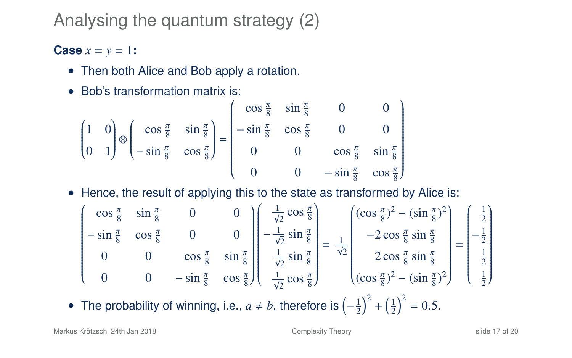#### **Case**  $x = y = 1$ **:**

- Then both Alice and Bob apply a rotation.
- Bob's transformation matrix is:

$$
\begin{pmatrix} 1 & 0 \ 0 & 1 \end{pmatrix} \otimes \begin{pmatrix} \cos\frac{\pi}{8} & \sin\frac{\pi}{8} \\ -\sin\frac{\pi}{8} & \cos\frac{\pi}{8} \end{pmatrix} = \begin{pmatrix} \cos\frac{\pi}{8} & \sin\frac{\pi}{8} & 0 & 0 \\ -\sin\frac{\pi}{8} & \cos\frac{\pi}{8} & 0 & 0 \\ 0 & 0 & \cos\frac{\pi}{8} & \sin\frac{\pi}{8} \\ 0 & 0 & -\sin\frac{\pi}{8} & \cos\frac{\pi}{8} \end{pmatrix}
$$

• Hence, the result of applying this to the state as transformed by Alice is:

$$
\begin{pmatrix}\n\cos\frac{\pi}{8} & \sin\frac{\pi}{8} & 0 & 0 \\
-\sin\frac{\pi}{8} & \cos\frac{\pi}{8} & 0 & 0 \\
0 & 0 & \cos\frac{\pi}{8} & \sin\frac{\pi}{8} \\
0 & 0 & -\sin\frac{\pi}{8} & \cos\frac{\pi}{8}\n\end{pmatrix}\n\begin{pmatrix}\n\frac{1}{\sqrt{2}}\cos\frac{\pi}{8} \\
-\frac{1}{\sqrt{2}}\sin\frac{\pi}{8} \\
\frac{1}{\sqrt{2}}\sin\frac{\pi}{8} \\
\frac{1}{\sqrt{2}}\cos\frac{\pi}{8}\sin\frac{\pi}{8}\n\end{pmatrix} = \frac{1}{\sqrt{2}}\n\begin{pmatrix}\n(\cos\frac{\pi}{8})^2 - (\sin\frac{\pi}{8})^2 \\
-2\cos\frac{\pi}{8}\sin\frac{\pi}{8} \\
2\cos\frac{\pi}{8}\sin\frac{\pi}{8} \\
(\cos\frac{\pi}{8})^2 - (\sin\frac{\pi}{8})^2\n\end{pmatrix} = \begin{pmatrix}\n\frac{1}{2} \\
-\frac{1}{2} \\
\frac{1}{2} \\
\frac{1}{2}\n\end{pmatrix}
$$

• The probability of winning, i.e.,  $a \neq b$ , therefore is  $\left(-\frac{1}{2}\right)^2 + \left(\frac{1}{2}\right)^2 = 0.5$ .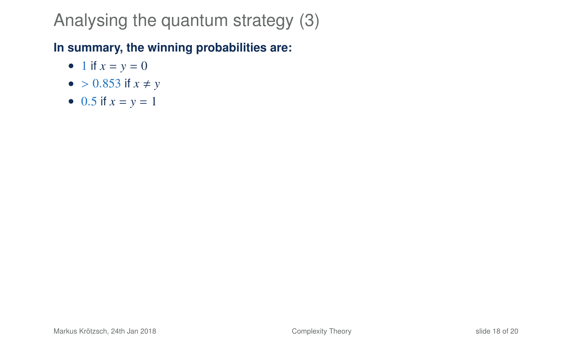#### **In summary, the winning probabilities are:**

- 1 if  $x = y = 0$
- $> 0.853$  if  $x \neq y$
- 0.5 if  $x = y = 1$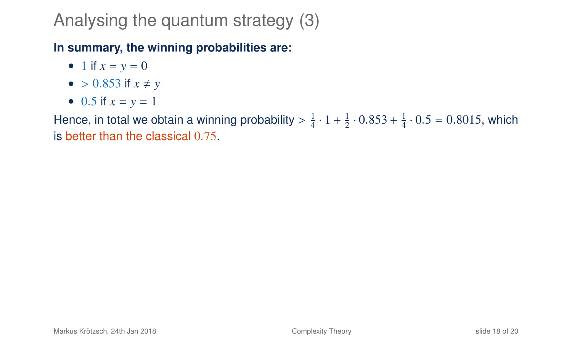#### **In summary, the winning probabilities are:**

- 1 if  $x = y = 0$
- $> 0.853$  if  $x \neq y$
- 0.5 if  $x = y = 1$

Hence, in total we obtain a winning probability  $> \frac{1}{4} \cdot 1 + \frac{1}{2} \cdot 0.853 + \frac{1}{4} \cdot 0.5 = 0.8015$ , which is better than the classical 0.75.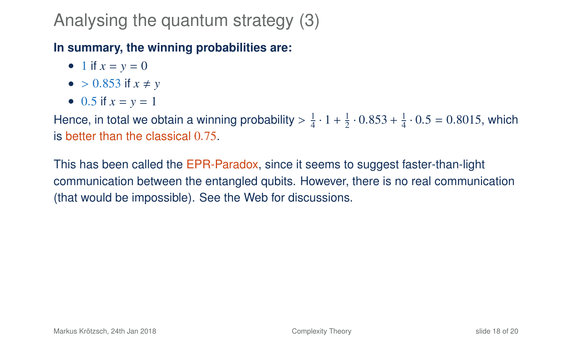#### **In summary, the winning probabilities are:**

- 1 if  $x = y = 0$
- $> 0.853$  if  $x \neq y$
- 0.5 if  $x = y = 1$

Hence, in total we obtain a winning probability  $> \frac{1}{4} \cdot 1 + \frac{1}{2} \cdot 0.853 + \frac{1}{4} \cdot 0.5 = 0.8015$ , which is better than the classical 0.75.

This has been called the EPR-Paradox, since it seems to suggest faster-than-light communication between the entangled qubits. However, there is no real communication (that would be impossible). See the Web for discussions.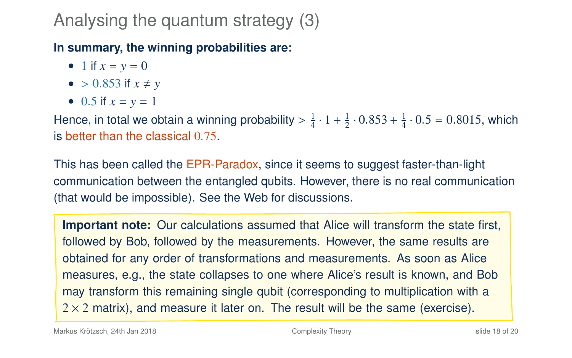#### **In summary, the winning probabilities are:**

- 1 if  $x = y = 0$
- $> 0.853$  if  $x \neq y$
- 0.5 if  $x = y = 1$

Hence, in total we obtain a winning probability  $> \frac{1}{4} \cdot 1 + \frac{1}{2} \cdot 0.853 + \frac{1}{4} \cdot 0.5 = 0.8015$ , which is better than the classical 0.75.

This has been called the EPR-Paradox, since it seems to suggest faster-than-light communication between the entangled qubits. However, there is no real communication (that would be impossible). See the Web for discussions.

**Important note:** Our calculations assumed that Alice will transform the state first, followed by Bob, followed by the measurements. However, the same results are obtained for any order of transformations and measurements. As soon as Alice measures, e.g., the state collapses to one where Alice's result is known, and Bob may transform this remaining single qubit (corresponding to multiplication with a  $2 \times 2$  matrix), and measure it later on. The result will be the same (exercise).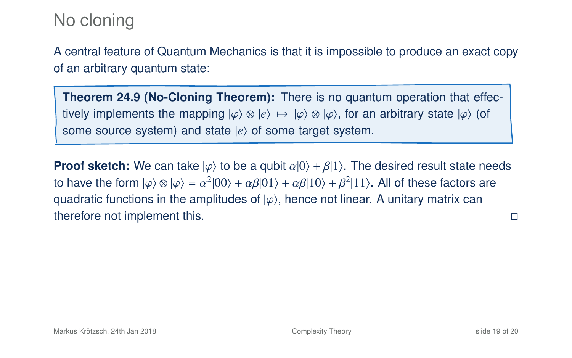### No cloning

A central feature of Quantum Mechanics is that it is impossible to produce an exact copy of an arbitrary quantum state:

**Theorem 24.9 (No-Cloning Theorem):** There is no quantum operation that effectively implements the mapping  $|\varphi\rangle \otimes |e\rangle \mapsto |\varphi\rangle \otimes |\varphi\rangle$ , for an arbitrary state  $|\varphi\rangle$  (of some source system) and state  $|e\rangle$  of some target system.

**Proof sketch:** We can take  $|\varphi\rangle$  to be a qubit  $\alpha|0\rangle + \beta|1\rangle$ . The desired result state needs to have the form  $|\varphi\rangle \otimes |\varphi\rangle = \alpha^2 |00\rangle + \alpha\beta |01\rangle + \alpha\beta |10\rangle + \beta^2 |11\rangle$ . All of these factors are<br>quadratic functions in the emplitudes of  $|\varphi\rangle$  happe not linear. A unitary matrix can quadratic functions in the amplitudes of  $|\varphi\rangle$ , hence not linear. A unitary matrix can therefore not implement this.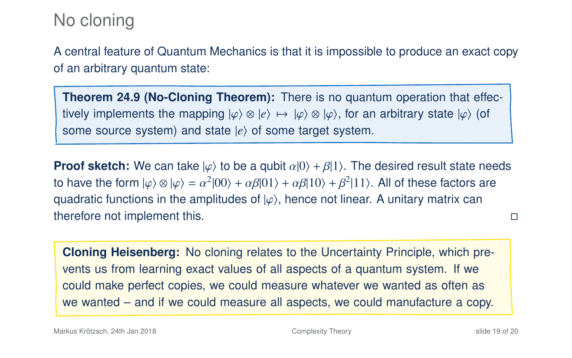### No cloning

A central feature of Quantum Mechanics is that it is impossible to produce an exact copy of an arbitrary quantum state:

**Theorem 24.9 (No-Cloning Theorem):** There is no quantum operation that effectively implements the mapping  $|\varphi\rangle \otimes |e\rangle \mapsto |\varphi\rangle \otimes |\varphi\rangle$ , for an arbitrary state  $|\varphi\rangle$  (of some source system) and state  $|e\rangle$  of some target system.

**Proof sketch:** We can take  $|\varphi\rangle$  to be a qubit  $\alpha|0\rangle + \beta|1\rangle$ . The desired result state needs to have the form  $|\varphi\rangle \otimes |\varphi\rangle = \alpha^2 |00\rangle + \alpha\beta |01\rangle + \alpha\beta |10\rangle + \beta^2 |11\rangle$ . All of these factors are<br>quadratic functions in the emplitudes of  $|\varphi\rangle$  happe not linear. A unitary matrix can quadratic functions in the amplitudes of  $|\varphi\rangle$ , hence not linear. A unitary matrix can therefore not implement this.

**Cloning Heisenberg:** No cloning relates to the Uncertainty Principle, which prevents us from learning exact values of all aspects of a quantum system. If we could make perfect copies, we could measure whatever we wanted as often as we wanted – and if we could measure all aspects, we could manufacture a copy.